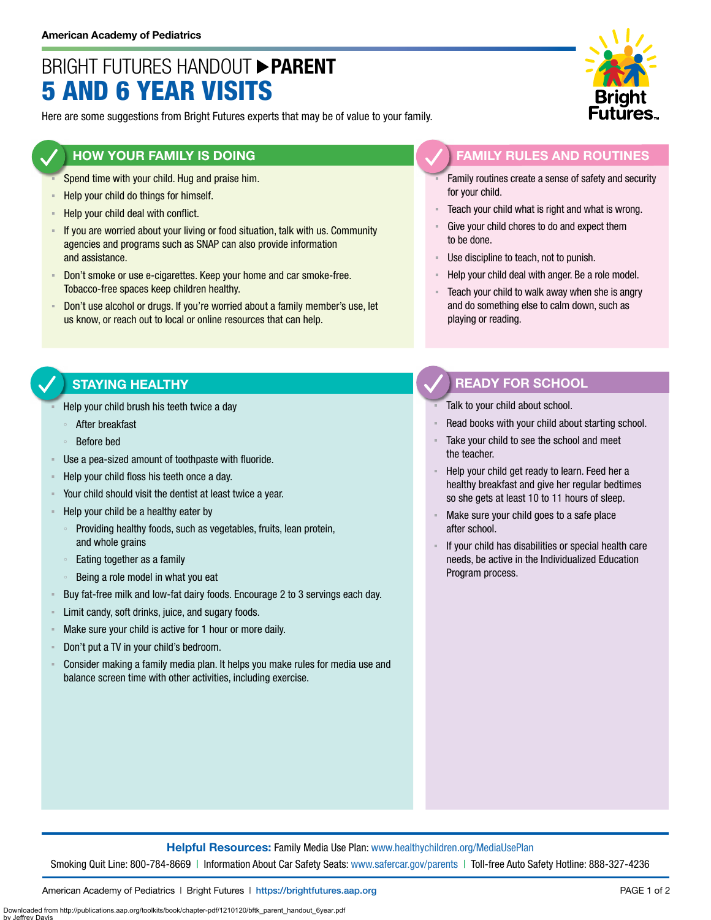# BRIGHT FUTURES HANDOUT **PARENT** 5 AND 6 YEAR VISITS

Here are some suggestions from Bright Futures experts that may be of value to your family.

### **HOW YOUR FAMILY IS DOING**

- Spend time with your child. Hug and praise him.
- **EXECT** Help your child do things for himself.
- Help your child deal with conflict.
- If you are worried about your living or food situation, talk with us. Community agencies and programs such as SNAP can also provide information and assistance.
- Don't smoke or use e-cigarettes. Keep your home and car smoke-free. Tobacco-free spaces keep children healthy.
- Don't use alcohol or drugs. If you're worried about a family member's use, let us know, or reach out to local or online resources that can help.

#### **FAMILY RULES AND ROUTINES**

- Family routines create a sense of safety and security for your child.
- Teach your child what is right and what is wrong.
- Give your child chores to do and expect them to be done.
- Use discipline to teach, not to punish.
- Help your child deal with anger. Be a role model.
- Teach your child to walk away when she is angry and do something else to calm down, such as playing or reading.

#### **STAYING HEALTHY**

- Help your child brush his teeth twice a day
	- After breakfast
	- Before bed
- Use a pea-sized amount of toothpaste with fluoride.
- Help your child floss his teeth once a day.
- Your child should visit the dentist at least twice a year.
- Help your child be a healthy eater by
	- Providing healthy foods, such as vegetables, fruits, lean protein, and whole grains
	- Eating together as a family
	- Being a role model in what you eat
- Buy fat-free milk and low-fat dairy foods. Encourage 2 to 3 servings each day.
- Limit candy, soft drinks, juice, and sugary foods.
- Make sure your child is active for 1 hour or more daily.
- Don't put a TV in your child's bedroom.
- Consider making a family media plan. It helps you make rules for media use and balance screen time with other activities, including exercise.

## **READY FOR SCHOOL**

- Talk to your child about school.
- Read books with your child about starting school.
- Take your child to see the school and meet the teacher.
- Help your child get ready to learn. Feed her a healthy breakfast and give her regular bedtimes so she gets at least 10 to 11 hours of sleep.
- Make sure your child goes to a safe place after school.
- If your child has disabilities or special health care needs, be active in the Individualized Education Program process.

**Helpful Resources:** Family Media Use Plan: [www.healthychildren.org/MediaUsePlan](https://www.healthychildren.org/English/media/Pages/default.aspx)

Smoking Quit Line: 800-784-8669 | Information About Car Safety Seats: [www.safercar.gov/parents](https://www.nhtsa.gov/parents-and-caregivers) | Toll-free Auto Safety Hotline: 888-327-4236

American Academy of Pediatrics | Bright Futures | https://[brightfutures.aap.org](https://brightfutures.aap.org/Pages/default.aspx) PAGE 1 of 2